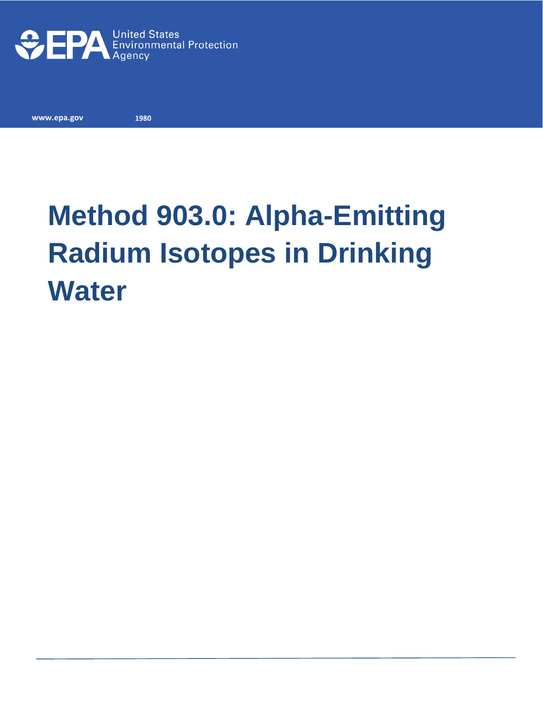

**www.epa.gov** 

**1980**

# **Method 903.0: Alpha-Emitting Radium Isotopes in Drinking Water**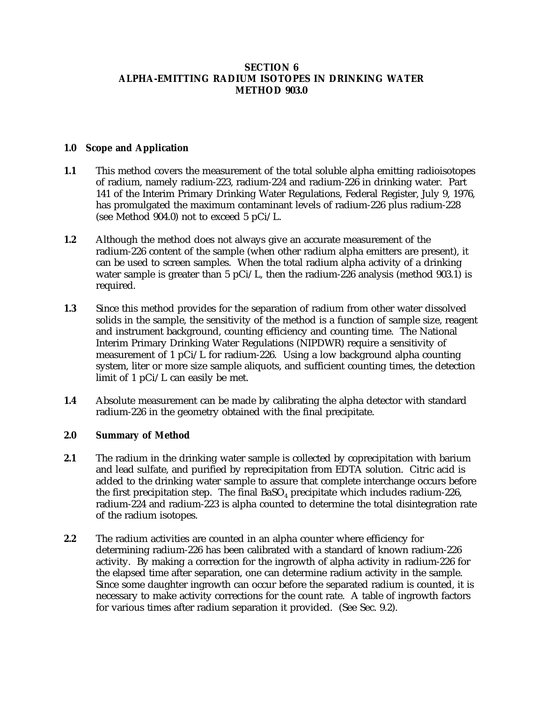## **SECTION 6 ALPHA-EMITTING RADIUM ISOTOPES IN DRINKING WATER METHOD 903.0**

#### **1.0 Scope and Application**

- **1.1** This method covers the measurement of the total soluble alpha emitting radioisotopes of radium, namely radium-223, radium-224 and radium-226 in drinking water. Part 141 of the Interim Primary Drinking Water Regulations, Federal Register, July 9, 1976, has promulgated the maximum contaminant levels of radium-226 plus radium-228 (see Method 904.0) not to exceed 5 pCi/L.
- **1.2** Although the method does not always give an accurate measurement of the radium-226 content of the sample (when other radium alpha emitters are present), it can be used to screen samples. When the total radium alpha activity of a drinking water sample is greater than 5 pCi/L, then the radium-226 analysis (method 903.1) is required.
- **1.3** Since this method provides for the separation of radium from other water dissolved solids in the sample, the sensitivity of the method is a function of sample size, reagent and instrument background, counting efficiency and counting time. The National Interim Primary Drinking Water Regulations (NIPDWR) require a sensitivity of measurement of 1  $pCi/L$  for radium-226. Using a low background alpha counting system, liter or more size sample aliquots, and sufficient counting times, the detection limit of 1 pCi/L can easily be met.
- **1.4** Absolute measurement can be made by calibrating the alpha detector with standard radium-226 in the geometry obtained with the final precipitate.

#### **2.0 Summary of Method**

- **2.1** The radium in the drinking water sample is collected by coprecipitation with barium and lead sulfate, and purified by reprecipitation from EDTA solution. Citric acid is added to the drinking water sample to assure that complete interchange occurs before the first precipitation step. The final  $BaSO<sub>4</sub>$  precipitate which includes radium-226, radium-224 and radium-223 is alpha counted to determine the total disintegration rate of the radium isotopes.
- **2.2** The radium activities are counted in an alpha counter where efficiency for determining radium-226 has been calibrated with a standard of known radium-226 activity. By making a correction for the ingrowth of alpha activity in radium-226 for the elapsed time after separation, one can determine radium activity in the sample. Since some daughter ingrowth can occur before the separated radium is counted, it is necessary to make activity corrections for the count rate. A table of ingrowth factors for various times after radium separation it provided. (See Sec. 9.2).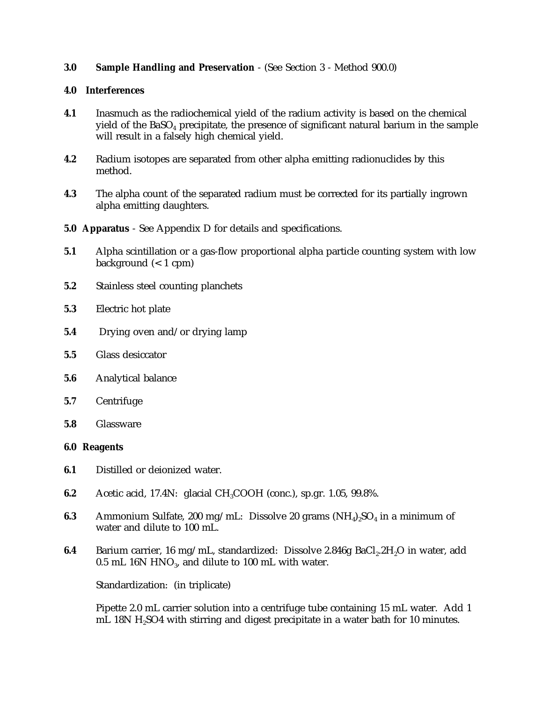## **3.0 Sample Handling and Preservation** - (See Section 3 - Method 900.0)

#### **4.0 Interferences**

- **4.1** Inasmuch as the radiochemical yield of the radium activity is based on the chemical yield of the  $BaSO<sub>4</sub>$  precipitate, the presence of significant natural barium in the sample will result in a falsely high chemical yield.
- **4.2** Radium isotopes are separated from other alpha emitting radionuclides by this method.
- **4.3** The alpha count of the separated radium must be corrected for its partially ingrown alpha emitting daughters.
- **5.0 Apparatus** See Appendix D for details and specifications.
- **5.1** Alpha scintillation or a gas-flow proportional alpha particle counting system with low background (< 1 cpm)
- **5.2** Stainless steel counting planchets
- **5.3** Electric hot plate
- **5.4** Drying oven and/or drying lamp
- **5.5** Glass desiccator
- **5.6** Analytical balance
- **5.7** Centrifuge
- **5.8** Glassware

#### **6.0 Reagents**

- **6.1** Distilled or deionized water.
- **6.2** Acetic acid, 17.4N: glacial CH<sub>3</sub>COOH (conc.), sp.gr. 1.05, 99.8%.
- **6.3** Ammonium Sulfate, 200 mg/mL: Dissolve 20 grams (NH $_{4}$ )<sub>2</sub>SO<sub>4</sub> in a minimum of water and dilute to 100 mL.
- **6.4** Barium carrier, 16 mg/mL, standardized: Dissolve 2.846g BaCl<sub>2</sub>.2H<sub>2</sub>O in water, add 0.5 mL 16N HNO<sub>3</sub>, and dilute to 100 mL with water.

Standardization: (in triplicate)

Pipette 2.0 mL carrier solution into a centrifuge tube containing 15 mL water. Add 1 mL 18N H<sub>2</sub>SO4 with stirring and digest precipitate in a water bath for 10 minutes.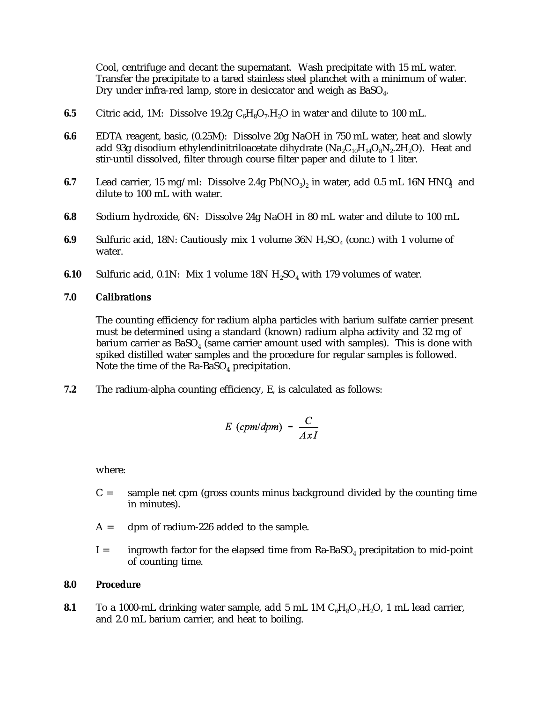Cool, centrifuge and decant the supernatant. Wash precipitate with 15 mL water. Transfer the precipitate to a tared stainless steel planchet with a minimum of water. Dry under infra-red lamp, store in desiccator and weigh as  $BaSO<sub>4</sub>$ .

- **6.5** Citric acid, 1M: Dissolve 19.2g  $C_6H_8O_7H_2O$  in water and dilute to 100 mL.
- **6.6** EDTA reagent, basic, (0.25M): Dissolve 20g NaOH in 750 mL water, heat and slowly add 93g disodium ethylendinitriloacetate dihydrate  $(Na_2C_{10}H_{14}O_8N_2.2H_2O)$ . Heat and stir-until dissolved, filter through course filter paper and dilute to 1 liter.
- **6.7** Lead carrier, 15 mg/ml: Dissolve 2.4g  $Pb(NO<sub>3</sub>)<sub>2</sub>$  in water, add 0.5 mL 16N HNQ and dilute to 100 mL with water.
- **6.8** Sodium hydroxide, 6N: Dissolve 24g NaOH in 80 mL water and dilute to 100 mL
- **6.9** Sulfuric acid, 18N: Cautiously mix 1 volume 36N H<sub>2</sub>SO<sub>4</sub> (conc.) with 1 volume of water.
- **6.10** Sulfuric acid, 0.1N: Mix 1 volume  $18N H<sub>2</sub>SO<sub>4</sub>$  with 179 volumes of water.

#### **7.0 Calibrations**

The counting efficiency for radium alpha particles with barium sulfate carrier present must be determined using a standard (known) radium alpha activity and 32 mg of barium carrier as  $BaSO<sub>4</sub>$  (same carrier amount used with samples). This is done with spiked distilled water samples and the procedure for regular samples is followed. Note the time of the  $Ra$ -BaSO<sub>4</sub> precipitation.

**7.2** The radium-alpha counting efficiency, E, is calculated as follows:

$$
E\ (cpm/dpm) = \frac{C}{AxI}
$$

where:

- $C =$  sample net cpm (gross counts minus background divided by the counting time in minutes).
- $A =$  dpm of radium-226 added to the sample.
- $I =$  ingrowth factor for the elapsed time from Ra-BaSO<sub>4</sub> precipitation to mid-point of counting time.

#### **8.0 Procedure**

**8.1** To a 1000-mL drinking water sample, add 5 mL 1M  $C_6H_8O_7H_2O$ , 1 mL lead carrier, and 2.0 mL barium carrier, and heat to boiling.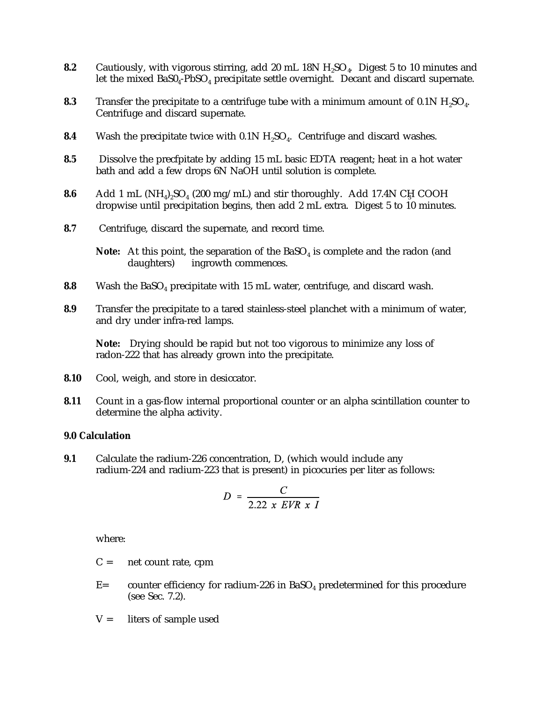- **8.2** Cautiously, with vigorous stirring, add 20 mL 18N H<sub>2</sub>SO<sub>4</sub>. Digest 5 to 10 minutes and let the mixed  $BaSO<sub>4</sub>$ -PbSO<sub>4</sub> precipitate settle overnight. Decant and discard supernate.
- **8.3** Transfer the precipitate to a centrifuge tube with a minimum amount of 0.1N H<sub>2</sub>SO<sub>4</sub>. Centrifuge and discard supernate.
- **8.4** Wash the precipitate twice with 0.1N H<sub>2</sub>SO<sub>4</sub>. Centrifuge and discard washes.
- **8.5** Dissolve the precfpitate by adding 15 mL basic EDTA reagent; heat in a hot water bath and add a few drops 6N NaOH until solution is complete.
- **8.6** Add 1 mL  $(NH_4)_2SO_4$  (200 mg/mL) and stir thoroughly. Add 17.4N CH COOH dropwise until precipitation begins, then add 2 mL extra. Digest 5 to 10 minutes.
- **8.7** Centrifuge, discard the supernate, and record time.

**Note:** At this point, the separation of the BaSO<sub>4</sub> is complete and the radon (and daughters) ingrowth commences. ingrowth commences.

- **8.8** Wash the BaSO<sub>4</sub> precipitate with 15 mL water, centrifuge, and discard wash.
- **8.9** Transfer the precipitate to a tared stainless-steel planchet with a minimum of water, and dry under infra-red lamps.

**Note:** Drying should be rapid but not too vigorous to minimize any loss of radon-222 that has already grown into the precipitate.

- **8.10** Cool, weigh, and store in desiccator.
- **8.11** Count in a gas-flow internal proportional counter or an alpha scintillation counter to determine the alpha activity.

#### **9.0 Calculation**

**9.1** Calculate the radium-226 concentration, D, (which would include any radium-224 and radium-223 that is present) in picocuries per liter as follows:

$$
D = \frac{C}{2.22 \times EVR \times I}
$$

where:

- $C =$  net count rate, cpm
- $E=$  counter efficiency for radium-226 in BaSO<sub>4</sub> predetermined for this procedure (see Sec. 7.2).
- $V =$  liters of sample used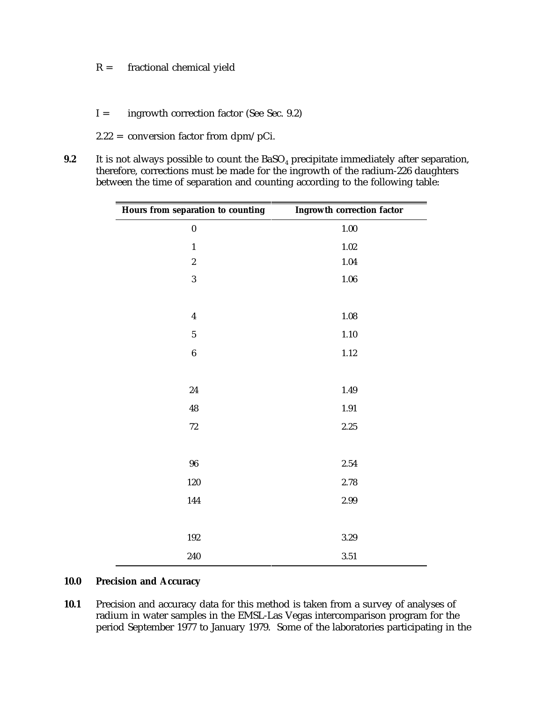- $R =$  fractional chemical yield
- I = ingrowth correction factor (See Sec. 9.2)
- 2.22 = conversion factor from dpm/pCi.
- **9.2** It is not always possible to count the BaSO<sub>4</sub> precipitate immediately after separation, therefore, corrections must be made for the ingrowth of the radium-226 daughters between the time of separation and counting according to the following table:

| Hours from separation to counting | <b>Ingrowth correction factor</b> |  |
|-----------------------------------|-----------------------------------|--|
| $\bf{0}$                          | $1.00\,$                          |  |
| $\mathbf{1}$                      | $1.02\,$                          |  |
| $\overline{c}$                    | 1.04                              |  |
| 3                                 | $1.06\,$                          |  |
|                                   |                                   |  |
| $\boldsymbol{4}$                  | $1.08\,$                          |  |
| $\overline{5}$                    | 1.10                              |  |
| $\boldsymbol{6}$                  | $1.12\,$                          |  |
|                                   |                                   |  |
| 24                                | 1.49                              |  |
| 48                                | 1.91                              |  |
| $72\,$                            | $2.25\,$                          |  |
|                                   |                                   |  |
| ${\bf 96}$                        | $2.54\,$                          |  |
| 120                               | 2.78                              |  |
| 144                               | 2.99                              |  |
|                                   |                                   |  |
| 192                               | $3.29\,$                          |  |
| 240                               | $3.51\,$                          |  |

#### **10.0 Precision and Accuracy**

**10.1** Precision and accuracy data for this method is taken from a survey of analyses of radium in water samples in the EMSL-Las Vegas intercomparison program for the period September 1977 to January 1979. Some of the laboratories participating in the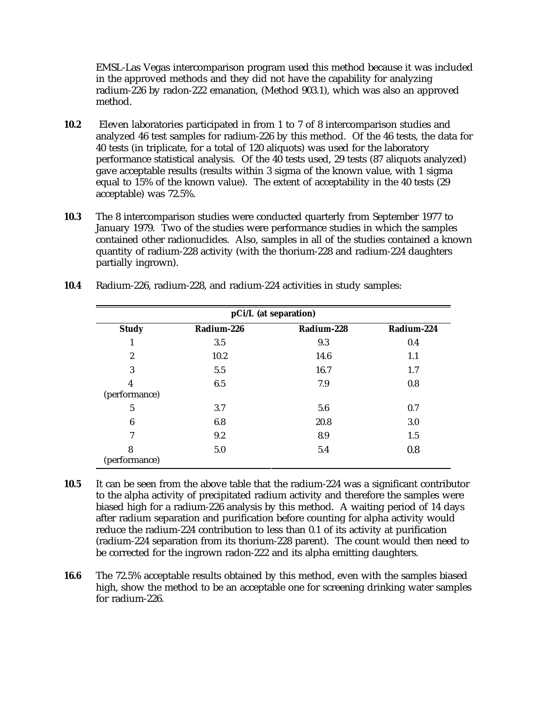EMSL-Las Vegas intercomparison program used this method because it was included in the approved methods and they did not have the capability for analyzing radium-226 by radon-222 emanation, (Method 903.1), which was also an approved method.

- **10.2** Eleven laboratories participated in from 1 to 7 of 8 intercomparison studies and analyzed 46 test samples for radium-226 by this method. Of the 46 tests, the data for 40 tests (in triplicate, for a total of 120 aliquots) was used for the laboratory performance statistical analysis. Of the 40 tests used, 29 tests (87 aliquots analyzed) gave acceptable results (results within 3 sigma of the known value, with 1 sigma equal to 15% of the known value). The extent of acceptability in the 40 tests (29 acceptable) was 72.5%.
- **10.3** The 8 intercomparison studies were conducted quarterly from September 1977 to January 1979. Two of the studies were performance studies in which the samples contained other radionuclides. Also, samples in all of the studies contained a known quantity of radium-228 activity (with the thorium-228 and radium-224 daughters partially ingrown).

| pCi/L (at separation) |            |            |            |
|-----------------------|------------|------------|------------|
| <b>Study</b>          | Radium-226 | Radium-228 | Radium-224 |
| 1                     | 3.5        | 9.3        | 0.4        |
| $\boldsymbol{2}$      | 10.2       | 14.6       | 1.1        |
| 3                     | 5.5        | 16.7       | 1.7        |
| 4                     | 6.5        | 7.9        | 0.8        |
| (performance)         |            |            |            |
| 5                     | 3.7        | 5.6        | 0.7        |
| 6                     | 6.8        | 20.8       | 3.0        |
| 7                     | 9.2        | 8.9        | 1.5        |
| 8<br>(performance)    | 5.0        | 5.4        | 0.8        |

**10.4** Radium-226, radium-228, and radium-224 activities in study samples:

- **10.5** It can be seen from the above table that the radium-224 was a significant contributor to the alpha activity of precipitated radium activity and therefore the samples were biased high for a radium-226 analysis by this method. A waiting period of 14 days after radium separation and purification before counting for alpha activity would reduce the radium-224 contribution to less than 0.1 of its activity at purification (radium-224 separation from its thorium-228 parent). The count would then need to be corrected for the ingrown radon-222 and its alpha emitting daughters.
- **16.6** The 72.5% acceptable results obtained by this method, even with the samples biased high, show the method to be an acceptable one for screening drinking water samples for radium-226.